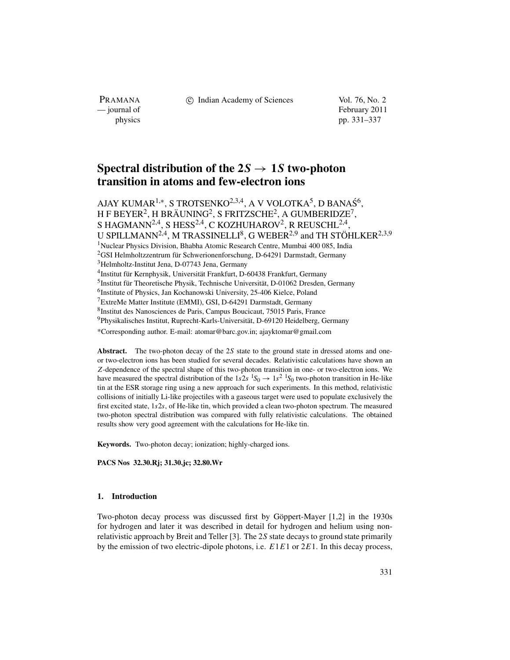PRAMANA<br>
— journal of

c Indian Academy of Sciences Vol. 76, No. 2

February 2011 physics pp. 331–337

# **Spectral distribution of the 2***S* $\rightarrow$  **1***S* **two-photon transition in atoms and few-electron ions**

AJAY KUMAR<sup>1,\*</sup>, S TROTSENKO<sup>2,3,4</sup>, A V VOLOTKA<sup>5</sup>, D BANA $\acute{S}^6$ , H F BEYER<sup>2</sup>, H BRÄUNING<sup>2</sup>, S FRITZSCHE<sup>2</sup>, A GUMBERIDZE<sup>7</sup>, S HAGMANN<sup>2,4</sup>, S HESS<sup>2,4</sup>, C KOZHUHAROV<sup>2</sup>, R REUSCHL<sup>2,4</sup>, U SPILLMANN<sup>2,4</sup>, M TRASSINELLI<sup>8</sup>, G WEBER<sup>2,9</sup> and TH STÖHLKER<sup>2,3,9</sup> 1Nuclear Physics Division, Bhabha Atomic Research Centre, Mumbai 400 085, India 2GSI Helmholtzzentrum für Schwerionenforschung, D-64291 Darmstadt, Germany 3Helmholtz-Institut Jena, D-07743 Jena, Germany 4Institut für Kernphysik, Universität Frankfurt, D-60438 Frankfurt, Germany 5Institut für Theoretische Physik, Technische Universität, D-01062 Dresden, Germany <sup>6</sup>Institute of Physics, Jan Kochanowski University, 25-406 Kielce, Poland 7ExtreMe Matter Institute (EMMI), GSI, D-64291 Darmstadt, Germany 8Institut des Nanosciences de Paris, Campus Boucicaut, 75015 Paris, France 9Physikalisches Institut, Ruprecht-Karls-Universität, D-69120 Heidelberg, Germany \*Corresponding author. E-mail: atomar@barc.gov.in; ajayktomar@gmail.com

**Abstract.** The two-photon decay of the 2*S* state to the ground state in dressed atoms and oneor two-electron ions has been studied for several decades. Relativistic calculations have shown an *Z*-dependence of the spectral shape of this two-photon transition in one- or two-electron ions. We have measured the spectral distribution of the  $1s2s$   ${}^{1}S_0 \rightarrow 1s^2$   ${}^{1}S_0$  two-photon transition in He-like tin at the ESR storage ring using a new approach for such experiments. In this method, relativistic collisions of initially Li-like projectiles with a gaseous target were used to populate exclusively the first excited state, 1*s*2*s*, of He-like tin, which provided a clean two-photon spectrum. The measured two-photon spectral distribution was compared with fully relativistic calculations. The obtained results show very good agreement with the calculations for He-like tin.

**Keywords.** Two-photon decay; ionization; highly-charged ions.

**PACS Nos 32.30.Rj; 31.30.jc; 32.80.Wr**

## **1. Introduction**

Two-photon decay process was discussed first by Göppert-Mayer [1,2] in the 1930s for hydrogen and later it was described in detail for hydrogen and helium using nonrelativistic approach by Breit and Teller [3]. The 2*S* state decays to ground state primarily by the emission of two electric-dipole photons, i.e. *E*1*E*1 or 2*E*1. In this decay process,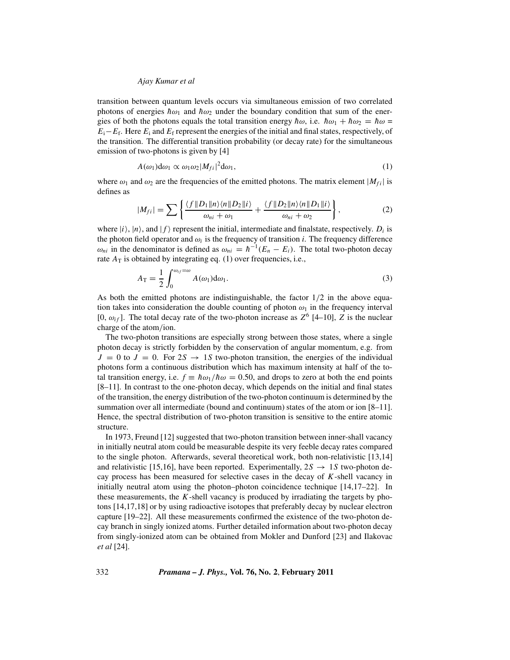## *Ajay Kumar et al*

transition between quantum levels occurs via simultaneous emission of two correlated photons of energies  $\hbar \omega_1$  and  $\hbar \omega_2$  under the boundary condition that sum of the energies of both the photons equals the total transition energy  $\hbar\omega$ , i.e.  $\hbar\omega_1 + \hbar\omega_2 = \hbar\omega =$  $E_i-E_f$ . Here  $E_i$  and  $E_f$  represent the energies of the initial and final states, respectively, of the transition. The differential transition probability (or decay rate) for the simultaneous emission of two-photons is given by [4]

$$
A(\omega_1)\mathrm{d}\omega_1 \propto \omega_1 \omega_2 |M_{fi}|^2 \mathrm{d}\omega_1,\tag{1}
$$

where  $\omega_1$  and  $\omega_2$  are the frequencies of the emitted photons. The matrix element  $|M_{fi}|$  is defines as

$$
|M_{fi}| = \sum \left\{ \frac{\langle f \| D_1 \| n \rangle \langle n \| D_2 \| i \rangle}{\omega_{ni} + \omega_1} + \frac{\langle f \| D_2 \| n \rangle \langle n \| D_1 \| i \rangle}{\omega_{ni} + \omega_2} \right\},\tag{2}
$$

where  $|i\rangle$ ,  $|n\rangle$ , and  $|f\rangle$  represent the initial, intermediate and finalstate, respectively.  $D_i$  is the photon field operator and  $\omega_i$  is the frequency of transition *i*. The frequency difference  $\omega_{ni}$  in the denominator is defined as  $\omega_{ni} = h^{-1}(E_n - E_i)$ . The total two-photon decay rate  $A_T$  is obtained by integrating eq. (1) over frequencies, i.e.,

$$
A_{\rm T} = \frac{1}{2} \int_0^{\omega_{\rm if} = \omega} A(\omega_1) d\omega_1.
$$
 (3)

As both the emitted photons are indistinguishable, the factor  $1/2$  in the above equation takes into consideration the double counting of photon  $\omega_1$  in the frequency interval [0,  $\omega_{if}$ ]. The total decay rate of the two-photon increase as  $Z^6$  [4–10], *Z* is the nuclear charge of the atom/ion.

The two-photon transitions are especially strong between those states, where a single photon decay is strictly forbidden by the conservation of angular momentum, e.g. from  $J = 0$  to  $J = 0$ . For  $2S \rightarrow 1S$  two-photon transition, the energies of the individual photons form a continuous distribution which has maximum intensity at half of the total transition energy, i.e.  $f = \hbar \omega_1 / \hbar \omega = 0.50$ , and drops to zero at both the end points [8–11]. In contrast to the one-photon decay, which depends on the initial and final states of the transition, the energy distribution of the two-photon continuum is determined by the summation over all intermediate (bound and continuum) states of the atom or ion [8–11]. Hence, the spectral distribution of two-photon transition is sensitive to the entire atomic structure.

In 1973, Freund [12] suggested that two-photon transition between inner-shall vacancy in initially neutral atom could be measurable despite its very feeble decay rates compared to the single photon. Afterwards, several theoretical work, both non-relativistic [13,14] and relativistic [15,16], have been reported. Experimentally,  $2S \rightarrow 1S$  two-photon decay process has been measured for selective cases in the decay of *K*-shell vacancy in initially neutral atom using the photon–photon coincidence technique [14,17–22]. In these measurements, the *K*-shell vacancy is produced by irradiating the targets by photons [14,17,18] or by using radioactive isotopes that preferably decay by nuclear electron capture [19–22]. All these measurements confirmed the existence of the two-photon decay branch in singly ionized atoms. Further detailed information about two-photon decay from singly-ionized atom can be obtained from Mokler and Dunford [23] and Ilakovac *et al* [24].

332 *Pramana – J. Phys.,* **Vol. 76, No. 2**, **February 2011**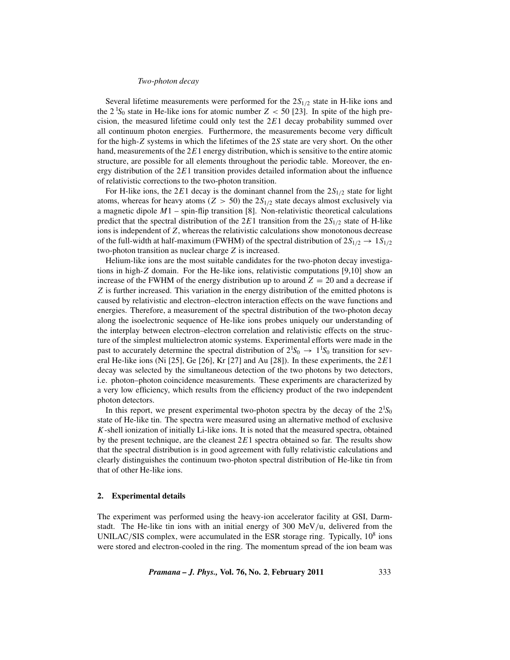## *Two-photon decay*

Several lifetime measurements were performed for the  $2S<sub>1/2</sub>$  state in H-like ions and the  $2^{1}S_0$  state in He-like ions for atomic number  $Z < 50$  [23]. In spite of the high precision, the measured lifetime could only test the 2*E*1 decay probability summed over all continuum photon energies. Furthermore, the measurements become very difficult for the high-*Z* systems in which the lifetimes of the 2*S* state are very short. On the other hand, measurements of the 2*E*1 energy distribution, which is sensitive to the entire atomic structure, are possible for all elements throughout the periodic table. Moreover, the energy distribution of the 2*E*1 transition provides detailed information about the influence of relativistic corrections to the two-photon transition.

For H-like ions, the  $2E1$  decay is the dominant channel from the  $2S<sub>1/2</sub>$  state for light atoms, whereas for heavy atoms ( $Z > 50$ ) the  $2S<sub>1/2</sub>$  state decays almost exclusively via a magnetic dipole *M*1 – spin-flip transition [8]. Non-relativistic theoretical calculations predict that the spectral distribution of the  $2E1$  transition from the  $2S<sub>1/2</sub>$  state of H-like ions is independent of *Z*, whereas the relativistic calculations show monotonous decrease of the full-width at half-maximum (FWHM) of the spectral distribution of  $2S_{1/2} \rightarrow 1S_{1/2}$ two-photon transition as nuclear charge *Z* is increased.

Helium-like ions are the most suitable candidates for the two-photon decay investigations in high-*Z* domain. For the He-like ions, relativistic computations [9,10] show an increase of the FWHM of the energy distribution up to around  $Z = 20$  and a decrease if *Z* is further increased. This variation in the energy distribution of the emitted photons is caused by relativistic and electron–electron interaction effects on the wave functions and energies. Therefore, a measurement of the spectral distribution of the two-photon decay along the isoelectronic sequence of He-like ions probes uniquely our understanding of the interplay between electron–electron correlation and relativistic effects on the structure of the simplest multielectron atomic systems. Experimental efforts were made in the past to accurately determine the spectral distribution of  $2^1S_0 \rightarrow 1^1S_0$  transition for several He-like ions (Ni [25], Ge [26], Kr [27] and Au [28]). In these experiments, the 2*E*1 decay was selected by the simultaneous detection of the two photons by two detectors, i.e. photon–photon coincidence measurements. These experiments are characterized by a very low efficiency, which results from the efficiency product of the two independent photon detectors.

In this report, we present experimental two-photon spectra by the decay of the  $2^1S_0$ state of He-like tin. The spectra were measured using an alternative method of exclusive *K*-shell ionization of initially Li-like ions. It is noted that the measured spectra, obtained by the present technique, are the cleanest 2*E*1 spectra obtained so far. The results show that the spectral distribution is in good agreement with fully relativistic calculations and clearly distinguishes the continuum two-photon spectral distribution of He-like tin from that of other He-like ions.

#### **2. Experimental details**

The experiment was performed using the heavy-ion accelerator facility at GSI, Darmstadt. The He-like tin ions with an initial energy of 300 MeV/u, delivered from the UNILAC/SIS complex, were accumulated in the ESR storage ring. Typically,  $10^8$  ions were stored and electron-cooled in the ring. The momentum spread of the ion beam was

*Pramana – J. Phys.,* **Vol. 76, No. 2**, **February 2011** 333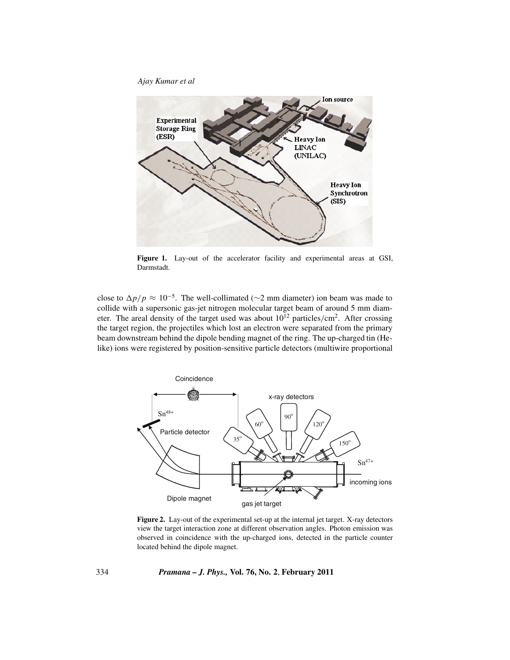*Ajay Kumar et al*



**Figure 1.** Lay-out of the accelerator facility and experimental areas at GSI, Darmstadt.

close to  $\Delta p/p \approx 10^{-5}$ . The well-collimated (∼2 mm diameter) ion beam was made to collide with a supersonic gas-jet nitrogen molecular target beam of around 5 mm diameter. The areal density of the target used was about  $10^{12}$  particles/cm<sup>2</sup>. After crossing the target region, the projectiles which lost an electron were separated from the primary beam downstream behind the dipole bending magnet of the ring. The up-charged tin (Helike) ions were registered by position-sensitive particle detectors (multiwire proportional



**Figure 2.** Lay-out of the experimental set-up at the internal jet target. X-ray detectors view the target interaction zone at different observation angles. Photon emission was observed in coincidence with the up-charged ions, detected in the particle counter located behind the dipole magnet.

334 *Pramana – J. Phys.,* **Vol. 76, No. 2**, **February 2011**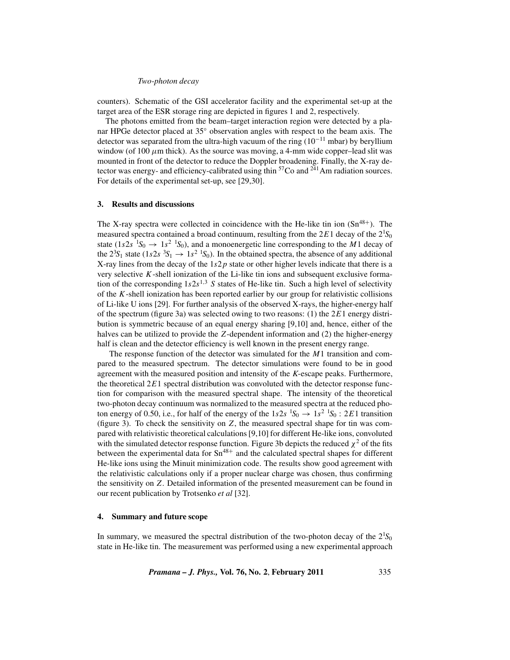### *Two-photon decay*

counters). Schematic of the GSI accelerator facility and the experimental set-up at the target area of the ESR storage ring are depicted in figures 1 and 2, respectively.

The photons emitted from the beam–target interaction region were detected by a planar HPGe detector placed at 35◦ observation angles with respect to the beam axis. The detector was separated from the ultra-high vacuum of the ring  $(10^{-11}$  mbar) by beryllium window (of 100  $\mu$ m thick). As the source was moving, a 4-mm wide copper–lead slit was mounted in front of the detector to reduce the Doppler broadening. Finally, the X-ray detector was energy- and efficiency-calibrated using thin  $57$ Co and  $241$  Am radiation sources. For details of the experimental set-up, see [29,30].

### **3. Results and discussions**

The X-ray spectra were collected in coincidence with the He-like tin ion  $(Sn^{48+})$ . The measured spectra contained a broad continuum, resulting from the  $2E1$  decay of the  $2^1S_0$ state  $(1s2s<sup>1</sup>S<sub>0</sub> \rightarrow 1s<sup>2</sup> S<sub>0</sub>)$ , and a monoenergetic line corresponding to the *M*1 decay of the  $2^3S_1$  state (1*s*2*s*  $^3S_1 \rightarrow 1s^2$  <sup>1</sup>*S*<sub>0</sub>). In the obtained spectra, the absence of any additional X-ray lines from the decay of the  $1s2p$  state or other higher levels indicate that there is a very selective *K*-shell ionization of the Li-like tin ions and subsequent exclusive formation of the corresponding  $1s2s^{1,3}$  *S* states of He-like tin. Such a high level of selectivity of the *K*-shell ionization has been reported earlier by our group for relativistic collisions of Li-like U ions [29]. For further analysis of the observed X-rays, the higher-energy half of the spectrum (figure 3a) was selected owing to two reasons: (1) the 2*E*1 energy distribution is symmetric because of an equal energy sharing [9,10] and, hence, either of the halves can be utilized to provide the *Z*-dependent information and (2) the higher-energy half is clean and the detector efficiency is well known in the present energy range.

The response function of the detector was simulated for the *M*1 transition and compared to the measured spectrum. The detector simulations were found to be in good agreement with the measured position and intensity of the *K*-escape peaks. Furthermore, the theoretical 2*E*1 spectral distribution was convoluted with the detector response function for comparison with the measured spectral shape. The intensity of the theoretical two-photon decay continuum was normalized to the measured spectra at the reduced photon energy of 0.50, i.e., for half of the energy of the  $1s2s$   ${}^{1}S_0 \rightarrow 1s^2$   ${}^{1}S_0$  : 2*E*1 transition (figure 3). To check the sensitivity on *Z*, the measured spectral shape for tin was compared with relativistic theoretical calculations [9,10] for different He-like ions, convoluted with the simulated detector response function. Figure 3b depicts the reduced  $\chi^2$  of the fits between the experimental data for  $Sn^{48+}$  and the calculated spectral shapes for different He-like ions using the Minuit minimization code. The results show good agreement with the relativistic calculations only if a proper nuclear charge was chosen, thus confirming the sensitivity on *Z*. Detailed information of the presented measurement can be found in our recent publication by Trotsenko *et al* [32].

## **4. Summary and future scope**

In summary, we measured the spectral distribution of the two-photon decay of the  $2^1S_0$ state in He-like tin. The measurement was performed using a new experimental approach

*Pramana – J. Phys.,* **Vol. 76, No. 2**, **February 2011** 335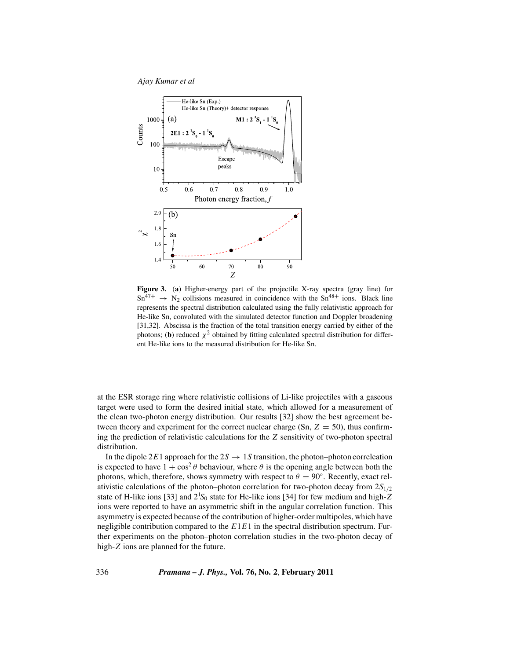*Ajay Kumar et al*



**Figure 3.** (**a**) Higher-energy part of the projectile X-ray spectra (gray line) for  $Sn^{47+} \rightarrow N_2$  collisions measured in coincidence with the  $Sn^{48+}$  ions. Black line represents the spectral distribution calculated using the fully relativistic approach for He-like Sn, convoluted with the simulated detector function and Doppler broadening [31,32]. Abscissa is the fraction of the total transition energy carried by either of the photons; (**b**) reduced  $\chi^2$  obtained by fitting calculated spectral distribution for different He-like ions to the measured distribution for He-like Sn.

at the ESR storage ring where relativistic collisions of Li-like projectiles with a gaseous target were used to form the desired initial state, which allowed for a measurement of the clean two-photon energy distribution. Our results [32] show the best agreement between theory and experiment for the correct nuclear charge (Sn,  $Z = 50$ ), thus confirming the prediction of relativistic calculations for the *Z* sensitivity of two-photon spectral distribution.

In the dipole 2*E*1 approach for the  $2S \rightarrow 1S$  transition, the photon–photon correleation is expected to have  $1 + \cos^2 \theta$  behaviour, where  $\theta$  is the opening angle between both the photons, which, therefore, shows symmetry with respect to  $\theta = 90^\circ$ . Recently, exact relativistic calculations of the photon–photon correlation for two-photon decay from 2*S*<sup>1</sup>/<sup>2</sup> state of H-like ions [33] and 2<sup>1</sup> *S*<sup>0</sup> state for He-like ions [34] for few medium and high-*Z* ions were reported to have an asymmetric shift in the angular correlation function. This asymmetry is expected because of the contribution of higher-order multipoles, which have negligible contribution compared to the *E*1*E*1 in the spectral distribution spectrum. Further experiments on the photon–photon correlation studies in the two-photon decay of high-*Z* ions are planned for the future.

336 *Pramana – J. Phys.,* **Vol. 76, No. 2**, **February 2011**